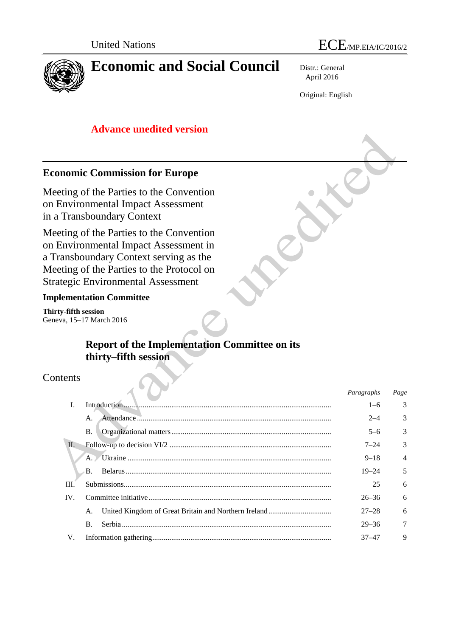



Distr.: General April 2016

Original: English

# **Advance unedited version**

## **Economic Commission for Europe**

Meeting of the Parties to the Convention on Environmental Impact Assessment in a Transboundary Context

Meeting of the Parties to the Convention on Environmental Impact Assessment in a Transboundary Context serving as the Meeting of the Parties to the Protocol on Strategic Environmental Assessment

### **Implementation Committee**

**Thirty-fifth session** Geneva, 15–17 March 2016

# **Report of the Implementation Committee on its thirty–fifth session**

## **Contents**

|                |  | Paragraphs | Page           |
|----------------|--|------------|----------------|
| $\mathbf{I}$ . |  |            | 3              |
| A.             |  | $2 - 4$    | 3              |
| <b>B.</b>      |  | $5 - 6$    | 3              |
|                |  | $7 - 24$   | 3              |
|                |  | $9 - 18$   | $\overline{4}$ |
| B.             |  | $19 - 24$  | 5              |
|                |  | 25         | 6              |
|                |  | $26 - 36$  | 6              |
| A.             |  | $27 - 28$  | 6              |
| $\mathbf{B}$ . |  | $29 - 36$  | 7              |
|                |  | $37 - 47$  | 9              |
|                |  |            | $1 - 6$        |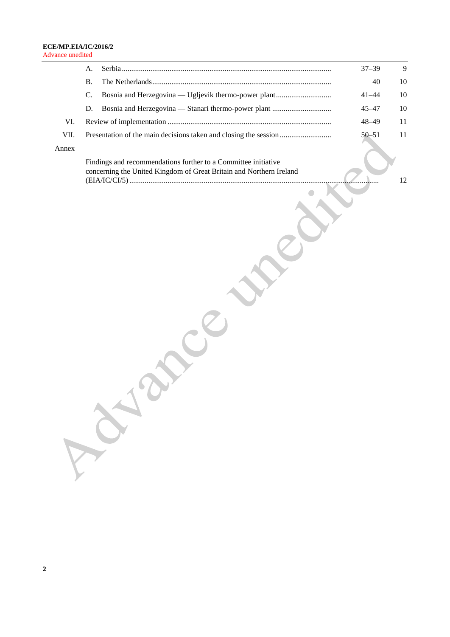|       | A.                                                                                                                                    | $37 - 39$ | 9  |
|-------|---------------------------------------------------------------------------------------------------------------------------------------|-----------|----|
|       | <b>B.</b>                                                                                                                             | 40        | 10 |
|       | C.<br>Bosnia and Herzegovina — Ugljevik thermo-power plant                                                                            | $41 - 44$ | 10 |
|       | D.                                                                                                                                    | $45 - 47$ | 10 |
| VI.   |                                                                                                                                       | $48 - 49$ | 11 |
| VII.  |                                                                                                                                       | $50 - 51$ | 11 |
| Annex |                                                                                                                                       |           |    |
|       | Findings and recommendations further to a Committee initiative<br>concerning the United Kingdom of Great Britain and Northern Ireland |           |    |
|       |                                                                                                                                       |           | 12 |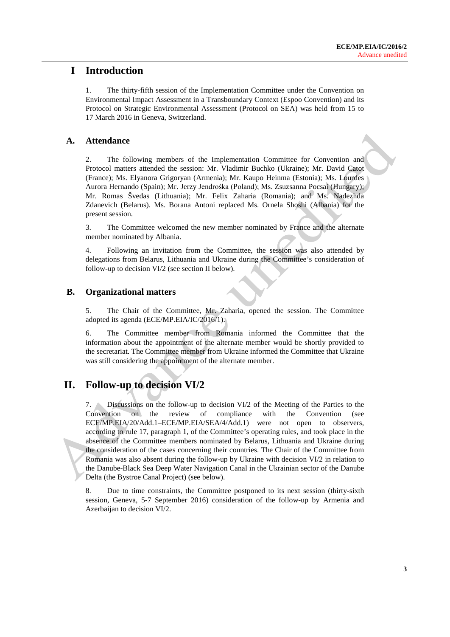## **I Introduction**

1. The thirty-fifth session of the Implementation Committee under the Convention on Environmental Impact Assessment in a Transboundary Context (Espoo Convention) and its Protocol on Strategic Environmental Assessment (Protocol on SEA) was held from 15 to 17 March 2016 in Geneva, Switzerland.

### **A. Attendance**

2. The following members of the Implementation Committee for Convention and Protocol matters attended the session: Mr. Vladimir Buchko (Ukraine); Mr. David Catot (France); Ms. Elyanora Grigoryan (Armenia); Mr. Kaupo Heinma (Estonia); Ms. Lourdes Aurora Hernando (Spain); Mr. Jerzy Jendrośka (Poland); Ms. Zsuzsanna Pocsai (Hungary); Mr. Romas Švedas (Lithuania); Mr. Felix Zaharia (Romania); and Ms. Nadezhda Zdanevich (Belarus). Ms. Borana Antoni replaced Ms. Ornela Shoshi (Albania) for the present session.

3. The Committee welcomed the new member nominated by France and the alternate member nominated by Albania.

4. Following an invitation from the Committee, the session was also attended by delegations from Belarus, Lithuania and Ukraine during the Committee's consideration of follow-up to decision VI/2 (see section II below).

### **B. Organizational matters**

5. The Chair of the Committee, Mr. Zaharia, opened the session. The Committee adopted its agenda (ECE/MP.EIA/IC/2016/1).

6. The Committee member from Romania informed the Committee that the information about the appointment of the alternate member would be shortly provided to the secretariat. The Committee member from Ukraine informed the Committee that Ukraine was still considering the appointment of the alternate member.

# **II. Follow-up to decision VI/2**

7. Discussions on the follow-up to decision VI/2 of the Meeting of the Parties to the Convention on the review of compliance with the Convention (see ECE/MP.EIA/20/Add.1–ECE/MP.EIA/SEA/4/Add.1) were not open to observers, according to rule 17, paragraph 1, of the Committee's operating rules, and took place in the absence of the Committee members nominated by Belarus, Lithuania and Ukraine during the consideration of the cases concerning their countries. The Chair of the Committee from Romania was also absent during the follow-up by Ukraine with decision VI/2 in relation to the Danube-Black Sea Deep Water Navigation Canal in the Ukrainian sector of the Danube Delta (the Bystroe Canal Project) (see below).

8. Due to time constraints, the Committee postponed to its next session (thirty-sixth session, Geneva, 5-7 September 2016) consideration of the follow-up by Armenia and Azerbaijan to decision VI/2.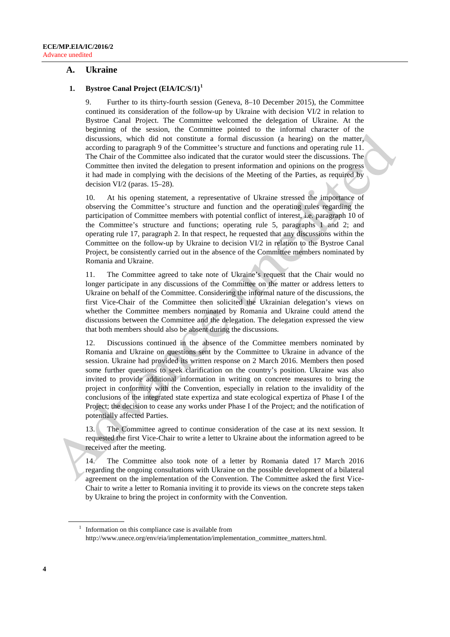### **A. Ukraine**

#### **1. Bystroe Canal Project (EIA/IC/S/1)[1](#page-3-0)**

9. Further to its thirty-fourth session (Geneva, 8–10 December 2015), the Committee continued its consideration of the follow-up by Ukraine with decision VI/2 in relation to Bystroe Canal Project. The Committee welcomed the delegation of Ukraine. At the beginning of the session, the Committee pointed to the informal character of the discussions, which did not constitute a formal discussion (a hearing) on the matter, according to paragraph 9 of the Committee's structure and functions and operating rule 11. The Chair of the Committee also indicated that the curator would steer the discussions. The Committee then invited the delegation to present information and opinions on the progress it had made in complying with the decisions of the Meeting of the Parties, as required by decision VI/2 (paras. 15–28).

10. At his opening statement, a representative of Ukraine stressed the importance of observing the Committee's structure and function and the operating rules regarding the participation of Committee members with potential conflict of interest, i.e. paragraph 10 of the Committee's structure and functions; operating rule 5, paragraphs 1 and 2; and operating rule 17, paragraph 2. In that respect, he requested that any discussions within the Committee on the follow-up by Ukraine to decision VI/2 in relation to the Bystroe Canal Project, be consistently carried out in the absence of the Committee members nominated by Romania and Ukraine.

11. The Committee agreed to take note of Ukraine's request that the Chair would no longer participate in any discussions of the Committee on the matter or address letters to Ukraine on behalf of the Committee. Considering the informal nature of the discussions, the first Vice-Chair of the Committee then solicited the Ukrainian delegation's views on whether the Committee members nominated by Romania and Ukraine could attend the discussions between the Committee and the delegation. The delegation expressed the view that both members should also be absent during the discussions.

12. Discussions continued in the absence of the Committee members nominated by Romania and Ukraine on questions sent by the Committee to Ukraine in advance of the session. Ukraine had provided its written response on 2 March 2016. Members then posed some further questions to seek clarification on the country's position. Ukraine was also invited to provide additional information in writing on concrete measures to bring the project in conformity with the Convention, especially in relation to the invalidity of the conclusions of the integrated state expertiza and state ecological expertiza of Phase I of the Project; the decision to cease any works under Phase I of the Project; and the notification of potentially affected Parties.

13. The Committee agreed to continue consideration of the case at its next session. It requested the first Vice-Chair to write a letter to Ukraine about the information agreed to be received after the meeting.

14. The Committee also took note of a letter by Romania dated 17 March 2016 regarding the ongoing consultations with Ukraine on the possible development of a bilateral agreement on the implementation of the Convention. The Committee asked the first Vice-Chair to write a letter to Romania inviting it to provide its views on the concrete steps taken by Ukraine to bring the project in conformity with the Convention.

<span id="page-3-0"></span> $1$  Information on this compliance case is available from [http://www.unece.org/env/eia/implementation/implementation\\_committee\\_matters.html.](http://www.unece.org/env/eia/implementation/implementation_committee_matters.html)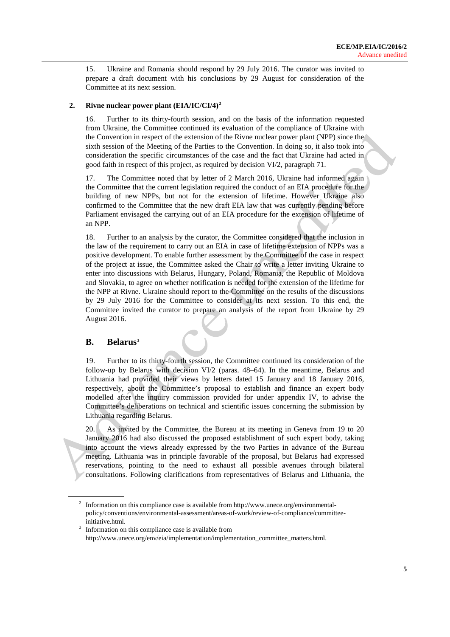15. Ukraine and Romania should respond by 29 July 2016. The curator was invited to prepare a draft document with his conclusions by 29 August for consideration of the Committee at its next session.

#### **2. Rivne nuclear power plant (EIA/IC/CI/4)[2](#page-4-0)**

16. Further to its thirty-fourth session, and on the basis of the information requested from Ukraine, the Committee continued its evaluation of the compliance of Ukraine with the Convention in respect of the extension of the Rivne nuclear power plant (NPP) since the sixth session of the Meeting of the Parties to the Convention. In doing so, it also took into consideration the specific circumstances of the case and the fact that Ukraine had acted in good faith in respect of this project, as required by decision VI/2, paragraph 71.

17. The Committee noted that by letter of 2 March 2016, Ukraine had informed again the Committee that the current legislation required the conduct of an EIA procedure for the building of new NPPs, but not for the extension of lifetime. However Ukraine also confirmed to the Committee that the new draft EIA law that was currently pending before Parliament envisaged the carrying out of an EIA procedure for the extension of lifetime of an NPP.

18. Further to an analysis by the curator, the Committee considered that the inclusion in the law of the requirement to carry out an EIA in case of lifetime extension of NPPs was a positive development. To enable further assessment by the Committee of the case in respect of the project at issue, the Committee asked the Chair to write a letter inviting Ukraine to enter into discussions with Belarus, Hungary, Poland, Romania, the Republic of Moldova and Slovakia, to agree on whether notification is needed for the extension of the lifetime for the NPP at Rivne. Ukraine should report to the Committee on the results of the discussions by 29 July 2016 for the Committee to consider at its next session. To this end, the Committee invited the curator to prepare an analysis of the report from Ukraine by 29 August 2016.

### **B. Belarus[3](#page-4-1)**

19. Further to its thirty-fourth session, the Committee continued its consideration of the follow-up by Belarus with decision VI/2 (paras. 48–64). In the meantime, Belarus and Lithuania had provided their views by letters dated 15 January and 18 January 2016, respectively, about the Committee's proposal to establish and finance an expert body modelled after the inquiry commission provided for under appendix IV, to advise the Committee's deliberations on technical and scientific issues concerning the submission by Lithuania regarding Belarus.

20. As invited by the Committee, the Bureau at its meeting in Geneva from 19 to 20 January 2016 had also discussed the proposed establishment of such expert body, taking into account the views already expressed by the two Parties in advance of the Bureau meeting. Lithuania was in principle favorable of the proposal, but Belarus had expressed reservations, pointing to the need to exhaust all possible avenues through bilateral consultations. Following clarifications from representatives of Belarus and Lithuania, the

<span id="page-4-0"></span><sup>&</sup>lt;sup>2</sup> Information on this compliance case is available fro[m http://www.unece.org/environmental](http://www.unece.org/environmental-policy/conventions/environmental-assessment/areas-of-work/review-of-compliance/committee-initiative.html)[policy/conventions/environmental-assessment/areas-of-work/review-of-compliance/committee](http://www.unece.org/environmental-policy/conventions/environmental-assessment/areas-of-work/review-of-compliance/committee-initiative.html)[initiative.html.](http://www.unece.org/environmental-policy/conventions/environmental-assessment/areas-of-work/review-of-compliance/committee-initiative.html)

<span id="page-4-1"></span><sup>&</sup>lt;sup>3</sup> Information on this compliance case is available from [http://www.unece.org/env/eia/implementation/implementation\\_committee\\_matters.html.](http://www.unece.org/env/eia/implementation/implementation_committee_matters.html)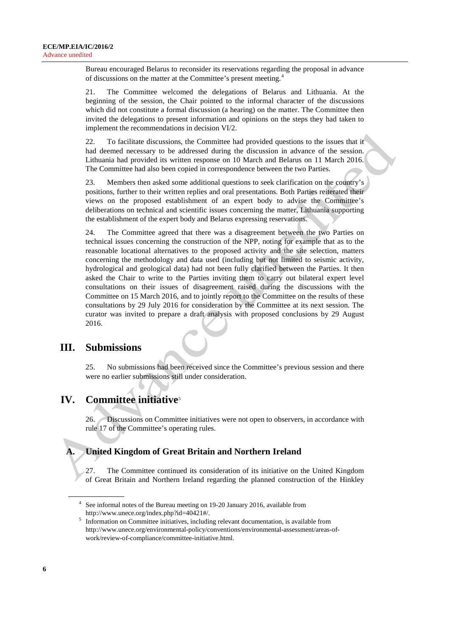Bureau encouraged Belarus to reconsider its reservations regarding the proposal in advance of discussions on the matter at the Committee's present meeting. [4](#page-5-0)

21. The Committee welcomed the delegations of Belarus and Lithuania. At the beginning of the session, the Chair pointed to the informal character of the discussions which did not constitute a formal discussion (a hearing) on the matter. The Committee then invited the delegations to present information and opinions on the steps they had taken to implement the recommendations in decision VI/2.

22. To facilitate discussions, the Committee had provided questions to the issues that it had deemed necessary to be addressed during the discussion in advance of the session. Lithuania had provided its written response on 10 March and Belarus on 11 March 2016. The Committee had also been copied in correspondence between the two Parties.

23. Members then asked some additional questions to seek clarification on the country's positions, further to their written replies and oral presentations. Both Parties reiterated their views on the proposed establishment of an expert body to advise the Committee's deliberations on technical and scientific issues concerning the matter, Lithuania supporting the establishment of the expert body and Belarus expressing reservations.

24. The Committee agreed that there was a disagreement between the two Parties on technical issues concerning the construction of the NPP, noting for example that as to the reasonable locational alternatives to the proposed activity and the site selection, matters concerning the methodology and data used (including but not limited to seismic activity, hydrological and geological data) had not been fully clarified between the Parties. It then asked the Chair to write to the Parties inviting them to carry out bilateral expert level consultations on their issues of disagreement raised during the discussions with the Committee on 15 March 2016, and to jointly report to the Committee on the results of these consultations by 29 July 2016 for consideration by the Committee at its next session. The curator was invited to prepare a draft analysis with proposed conclusions by 29 August 2016.

## **III. Submissions**

25. No submissions had been received since the Committee's previous session and there were no earlier submissions still under consideration.

# **IV. Committee initiative**[5](#page-5-1)

26. Discussions on Committee initiatives were not open to observers, in accordance with rule 17 of the Committee's operating rules.

## **A. United Kingdom of Great Britain and Northern Ireland**

27. The Committee continued its consideration of its initiative on the United Kingdom of Great Britain and Northern Ireland regarding the planned construction of the Hinkley

<span id="page-5-0"></span><sup>4</sup> See informal notes of the Bureau meeting on 19-20 January 2016, available from http://www.unece.org/index.php?id=40421#/.

<span id="page-5-1"></span><sup>&</sup>lt;sup>5</sup> Information on Committee initiatives, including relevant documentation, is available from http://www.unece.org/environmental-policy/conventions/environmental-assessment/areas-ofwork/review-of-compliance/committee-initiative.html.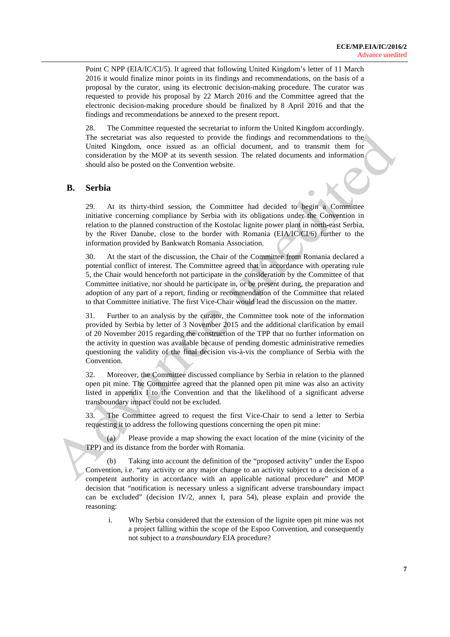Point C NPP (EIA/IC/CI/5). It agreed that following United Kingdom's letter of 11 March 2016 it would finalize minor points in its findings and recommendations, on the basis of a proposal by the curator, using its electronic decision-making procedure. The curator was requested to provide his proposal by 22 March 2016 and the Committee agreed that the electronic decision-making procedure should be finalized by 8 April 2016 and that the findings and recommendations be annexed to the present report.

28. The Committee requested the secretariat to inform the United Kingdom accordingly. The secretariat was also requested to provide the findings and recommendations to the United Kingdom, once issued as an official document, and to transmit them for consideration by the MOP at its seventh session. The related documents and information should also be posted on the Convention website.

### **B. Serbia**

29. At its thirty-third session, the Committee had decided to begin a Committee initiative concerning compliance by Serbia with its obligations under the Convention in relation to the planned construction of the Kostolac lignite power plant in north-east Serbia, by the River Danube, close to the border with Romania (EIA/IC/CI/6) further to the information provided by Bankwatch Romania Association.

30. At the start of the discussion, the Chair of the Committee from Romania declared a potential conflict of interest. The Committee agreed that in accordance with operating rule 5, the Chair would henceforth not participate in the consideration by the Committee of that Committee initiative, nor should he participate in, or be present during, the preparation and adoption of any part of a report, finding or recommendation of the Committee that related to that Committee initiative. The first Vice-Chair would lead the discussion on the matter.

31. Further to an analysis by the curator, the Committee took note of the information provided by Serbia by letter of 3 November 2015 and the additional clarification by email of 20 November 2015 regarding the construction of the TPP that no further information on the activity in question was available because of pending domestic administrative remedies questioning the validity of the final decision vis-à-vis the compliance of Serbia with the Convention.

32. Moreover, the Committee discussed compliance by Serbia in relation to the planned open pit mine. The Committee agreed that the planned open pit mine was also an activity listed in appendix I to the Convention and that the likelihood of a significant adverse transboundary impact could not be excluded.

33. The Committee agreed to request the first Vice-Chair to send a letter to Serbia requesting it to address the following questions concerning the open pit mine:

(a) Please provide a map showing the exact location of the mine (vicinity of the TPP) and its distance from the border with Romania.

(b) Taking into account the definition of the "proposed activity" under the Espoo Convention, i.e. "any activity or any major change to an activity subject to a decision of a competent authority in accordance with an applicable national procedure" and MOP decision that "notification is necessary unless a significant adverse transboundary impact can be excluded" (decision IV/2, annex I, para 54), please explain and provide the reasoning:

i. Why Serbia considered that the extension of the lignite open pit mine was not a project falling within the scope of the Espoo Convention, and consequently not subject to a *transboundary* EIA procedure?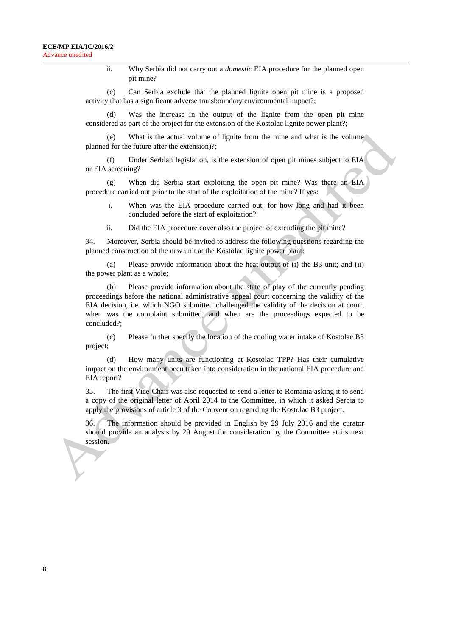ii. Why Serbia did not carry out a *domestic* EIA procedure for the planned open pit mine?

(c) Can Serbia exclude that the planned lignite open pit mine is a proposed activity that has a significant adverse transboundary environmental impact?;

Was the increase in the output of the lignite from the open pit mine considered as part of the project for the extension of the Kostolac lignite power plant?;

(e) What is the actual volume of lignite from the mine and what is the volume planned for the future after the extension)?;

(f) Under Serbian legislation, is the extension of open pit mines subject to EIA or EIA screening?

(g) When did Serbia start exploiting the open pit mine? Was there an EIA procedure carried out prior to the start of the exploitation of the mine? If yes:

- i. When was the EIA procedure carried out, for how long and had it been concluded before the start of exploitation?
- ii. Did the EIA procedure cover also the project of extending the pit mine?

34. Moreover, Serbia should be invited to address the following questions regarding the planned construction of the new unit at the Kostolac lignite power plant:

(a) Please provide information about the heat output of (i) the B3 unit; and (ii) the power plant as a whole;

(b) Please provide information about the state of play of the currently pending proceedings before the national administrative appeal court concerning the validity of the EIA decision, i.e. which NGO submitted challenged the validity of the decision at court, when was the complaint submitted, and when are the proceedings expected to be concluded?;

(c) Please further specify the location of the cooling water intake of Kostolac B3 project;

(d) How many units are functioning at Kostolac TPP? Has their cumulative impact on the environment been taken into consideration in the national EIA procedure and EIA report?

35. The first Vice-Chair was also requested to send a letter to Romania asking it to send a copy of the original letter of April 2014 to the Committee, in which it asked Serbia to apply the provisions of article 3 of the Convention regarding the Kostolac B3 project.

36. The information should be provided in English by 29 July 2016 and the curator should provide an analysis by 29 August for consideration by the Committee at its next session.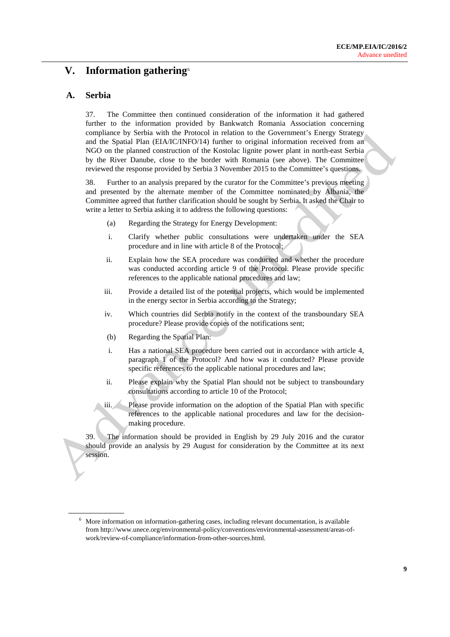# **V. Information gathering**[6](#page-8-0)

### **A. Serbia**

37. The Committee then continued consideration of the information it had gathered further to the information provided by Bankwatch Romania Association concerning compliance by Serbia with the Protocol in relation to the Government's Energy Strategy and the Spatial Plan (EIA/IC/INFO/14) further to original information received from an NGO on the planned construction of the Kostolac lignite power plant in north-east Serbia by the River Danube, close to the border with Romania (see above). The Committee reviewed the response provided by Serbia 3 November 2015 to the Committee's questions.

38. Further to an analysis prepared by the curator for the Committee's previous meeting and presented by the alternate member of the Committee nominated by Albania, the Committee agreed that further clarification should be sought by Serbia. It asked the Chair to write a letter to Serbia asking it to address the following questions:

- (a) Regarding the Strategy for Energy Development:
- i. Clarify whether public consultations were undertaken under the SEA procedure and in line with article 8 of the Protocol;
- ii. Explain how the SEA procedure was conducted and whether the procedure was conducted according article 9 of the Protocol. Please provide specific references to the applicable national procedures and law;
- iii. Provide a detailed list of the potential projects, which would be implemented in the energy sector in Serbia according to the Strategy;
- iv. Which countries did Serbia notify in the context of the transboundary SEA procedure? Please provide copies of the notifications sent;
- (b) Regarding the Spatial Plan:
- i. Has a national SEA procedure been carried out in accordance with article 4, paragraph 1 of the Protocol? And how was it conducted? Please provide specific references to the applicable national procedures and law;
- ii. Please explain why the Spatial Plan should not be subject to transboundary consultations according to article 10 of the Protocol;
- iii. Please provide information on the adoption of the Spatial Plan with specific references to the applicable national procedures and law for the decisionmaking procedure.

39. The information should be provided in English by 29 July 2016 and the curator should provide an analysis by 29 August for consideration by the Committee at its next session.

<span id="page-8-0"></span><sup>&</sup>lt;sup>6</sup> More information on information-gathering cases, including relevant documentation, is available from [http://www.unece.org/environmental-policy/conventions/environmental-assessment/areas-of](http://www.unece.org/environmental-policy/conventions/environmental-assessment/areas-of-work/review-of-compliance/information-from-other-sources.html)[work/review-of-compliance/information-from-other-sources.html.](http://www.unece.org/environmental-policy/conventions/environmental-assessment/areas-of-work/review-of-compliance/information-from-other-sources.html)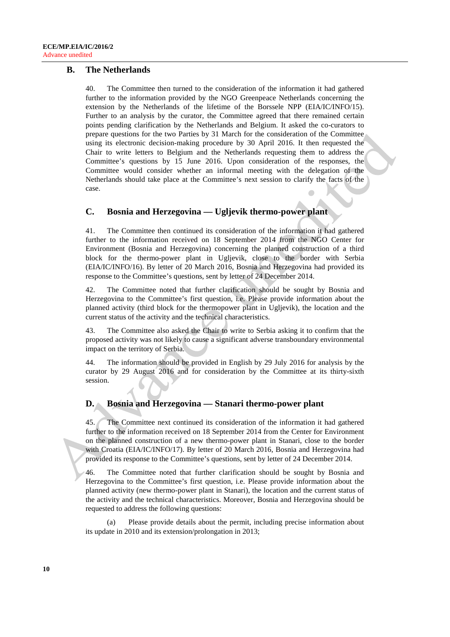### **B. The Netherlands**

40. The Committee then turned to the consideration of the information it had gathered further to the information provided by the NGO Greenpeace Netherlands concerning the extension by the Netherlands of the lifetime of the Borssele NPP (EIA/IC/INFO/15). Further to an analysis by the curator, the Committee agreed that there remained certain points pending clarification by the Netherlands and Belgium. It asked the co-curators to prepare questions for the two Parties by 31 March for the consideration of the Committee using its electronic decision-making procedure by 30 April 2016. It then requested the Chair to write letters to Belgium and the Netherlands requesting them to address the Committee's questions by 15 June 2016. Upon consideration of the responses, the Committee would consider whether an informal meeting with the delegation of the Netherlands should take place at the Committee's next session to clarify the facts of the case.

### **C. Bosnia and Herzegovina — Ugljevik thermo-power plant**

41. The Committee then continued its consideration of the information it had gathered further to the information received on 18 September 2014 from the NGO Center for Environment (Bosnia and Herzegovina) concerning the planned construction of a third block for the thermo-power plant in Ugljevik, close to the border with Serbia (EIA/IC/INFO/16). By letter of 20 March 2016, Bosnia and Herzegovina had provided its response to the Committee's questions, sent by letter of 24 December 2014.

42. The Committee noted that further clarification should be sought by Bosnia and Herzegovina to the Committee's first question, i.e. Please provide information about the planned activity (third block for the thermopower plant in Ugljevik), the location and the current status of the activity and the technical characteristics.

43. The Committee also asked the Chair to write to Serbia asking it to confirm that the proposed activity was not likely to cause a significant adverse transboundary environmental impact on the territory of Serbia.

44. The information should be provided in English by 29 July 2016 for analysis by the curator by 29 August 2016 and for consideration by the Committee at its thirty-sixth session.

### **D. Bosnia and Herzegovina — Stanari thermo-power plant**

45. The Committee next continued its consideration of the information it had gathered further to the information received on 18 September 2014 from the Center for Environment on the planned construction of a new thermo-power plant in Stanari, close to the border with Croatia (EIA/IC/INFO/17). By letter of 20 March 2016, Bosnia and Herzegovina had provided its response to the Committee's questions, sent by letter of 24 December 2014.

46. The Committee noted that further clarification should be sought by Bosnia and Herzegovina to the Committee's first question, i.e. Please provide information about the planned activity (new thermo-power plant in Stanari), the location and the current status of the activity and the technical characteristics. Moreover, Bosnia and Herzegovina should be requested to address the following questions:

(a) Please provide details about the permit, including precise information about its update in 2010 and its extension/prolongation in 2013;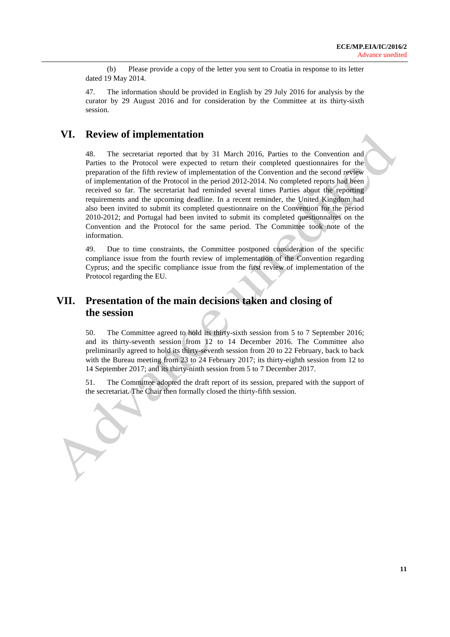(b) Please provide a copy of the letter you sent to Croatia in response to its letter dated 19 May 2014.

47. The information should be provided in English by 29 July 2016 for analysis by the curator by 29 August 2016 and for consideration by the Committee at its thirty-sixth session.

## **VI. Review of implementation**

48. The secretariat reported that by 31 March 2016, Parties to the Convention and Parties to the Protocol were expected to return their completed questionnaires for the preparation of the fifth review of implementation of the Convention and the second review of implementation of the Protocol in the period 2012-2014. No completed reports had been received so far. The secretariat had reminded several times Parties about the reporting requirements and the upcoming deadline. In a recent reminder, the United Kingdom had also been invited to submit its completed questionnaire on the Convention for the period 2010-2012; and Portugal had been invited to submit its completed questionnaires on the Convention and the Protocol for the same period. The Committee took note of the information.

49. Due to time constraints, the Committee postponed consideration of the specific compliance issue from the fourth review of implementation of the Convention regarding Cyprus; and the specific compliance issue from the first review of implementation of the Protocol regarding the EU.

# **VII. Presentation of the main decisions taken and closing of the session**

50. The Committee agreed to hold its thirty-sixth session from 5 to 7 September 2016; and its thirty-seventh session from 12 to 14 December 2016. The Committee also preliminarily agreed to hold its thirty-seventh session from 20 to 22 February, back to back with the Bureau meeting from 23 to 24 February 2017; its thirty-eighth session from 12 to 14 September 2017; and its thirty-ninth session from 5 to 7 December 2017.

51. The Committee adopted the draft report of its session, prepared with the support of the secretariat. The Chair then formally closed the thirty-fifth session.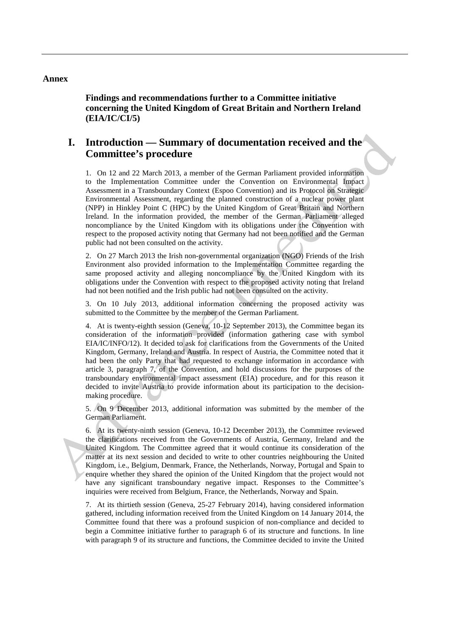#### **Annex**

**Findings and recommendations further to a Committee initiative concerning the United Kingdom of Great Britain and Northern Ireland (EIA/IC/CI/5)**

### **I. Introduction — Summary of documentation received and the Committee's procedure**

1. On 12 and 22 March 2013, a member of the German Parliament provided information to the Implementation Committee under the Convention on Environmental Impact Assessment in a Transboundary Context (Espoo Convention) and its Protocol on Strategic Environmental Assessment, regarding the planned construction of a nuclear power plant (NPP) in Hinkley Point C (HPC) by the United Kingdom of Great Britain and Northern Ireland. In the information provided, the member of the German Parliament alleged noncompliance by the United Kingdom with its obligations under the Convention with respect to the proposed activity noting that Germany had not been notified and the German public had not been consulted on the activity.

2. On 27 March 2013 the Irish non-governmental organization (NGO) Friends of the Irish Environment also provided information to the Implementation Committee regarding the same proposed activity and alleging noncompliance by the United Kingdom with its obligations under the Convention with respect to the proposed activity noting that Ireland had not been notified and the Irish public had not been consulted on the activity.

3. On 10 July 2013, additional information concerning the proposed activity was submitted to the Committee by the member of the German Parliament.

4. At is twenty-eighth session (Geneva, 10-12 September 2013), the Committee began its consideration of the information provided (information gathering case with symbol EIA/IC/INFO/12). It decided to ask for clarifications from the Governments of the United Kingdom, Germany, Ireland and Austria. In respect of Austria, the Committee noted that it had been the only Party that had requested to exchange information in accordance with article 3, paragraph 7, of the Convention, and hold discussions for the purposes of the transboundary environmental impact assessment (EIA) procedure, and for this reason it decided to invite Austria to provide information about its participation to the decisionmaking procedure.

5. On 9 December 2013, additional information was submitted by the member of the German Parliament.

6. At its twenty-ninth session (Geneva, 10-12 December 2013), the Committee reviewed the clarifications received from the Governments of Austria, Germany, Ireland and the United Kingdom. The Committee agreed that it would continue its consideration of the matter at its next session and decided to write to other countries neighbouring the United Kingdom, i.e., Belgium, Denmark, France, the Netherlands, Norway, Portugal and Spain to enquire whether they shared the opinion of the United Kingdom that the project would not have any significant transboundary negative impact. Responses to the Committee's inquiries were received from Belgium, France, the Netherlands, Norway and Spain.

7. At its thirtieth session (Geneva, 25-27 February 2014), having considered information gathered, including information received from the United Kingdom on 14 January 2014, the Committee found that there was a profound suspicion of non-compliance and decided to begin a Committee initiative further to paragraph 6 of its structure and functions. In line with paragraph 9 of its structure and functions, the Committee decided to invite the United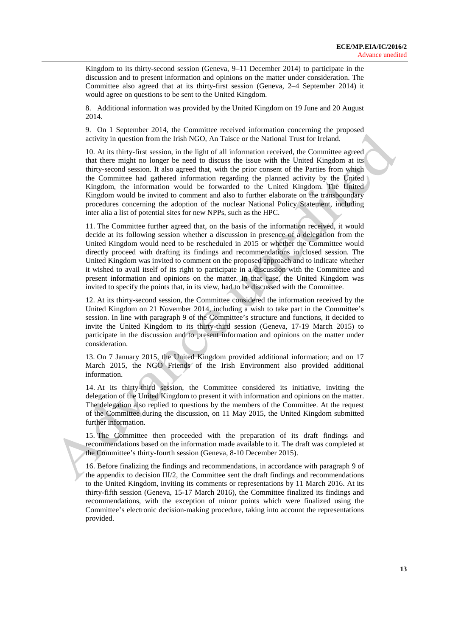Kingdom to its thirty-second session (Geneva, 9–11 December 2014) to participate in the discussion and to present information and opinions on the matter under consideration. The Committee also agreed that at its thirty-first session (Geneva, 2–4 September 2014) it would agree on questions to be sent to the United Kingdom.

8. Additional information was provided by the United Kingdom on 19 June and 20 August 2014.

9. On 1 September 2014, the Committee received information concerning the proposed activity in question from the Irish NGO, An Taisce or the National Trust for Ireland.

10. At its thirty-first session, in the light of all information received, the Committee agreed that there might no longer be need to discuss the issue with the United Kingdom at its thirty-second session. It also agreed that, with the prior consent of the Parties from which the Committee had gathered information regarding the planned activity by the United Kingdom, the information would be forwarded to the United Kingdom. The United Kingdom would be invited to comment and also to further elaborate on the transboundary procedures concerning the adoption of the nuclear National Policy Statement, including inter alia a list of potential sites for new NPPs, such as the HPC.

11. The Committee further agreed that, on the basis of the information received, it would decide at its following session whether a discussion in presence of a delegation from the United Kingdom would need to be rescheduled in 2015 or whether the Committee would directly proceed with drafting its findings and recommendations in closed session. The United Kingdom was invited to comment on the proposed approach and to indicate whether it wished to avail itself of its right to participate in a discussion with the Committee and present information and opinions on the matter. In that case, the United Kingdom was invited to specify the points that, in its view, had to be discussed with the Committee.

12. At its thirty-second session, the Committee considered the information received by the United Kingdom on 21 November 2014, including a wish to take part in the Committee's session. In line with paragraph 9 of the Committee's structure and functions, it decided to invite the United Kingdom to its thirty-third session (Geneva, 17-19 March 2015) to participate in the discussion and to present information and opinions on the matter under consideration.

13. On 7 January 2015, the United Kingdom provided additional information; and on 17 March 2015, the NGO Friends of the Irish Environment also provided additional information.

14. At its thirty-third session, the Committee considered its initiative, inviting the delegation of the United Kingdom to present it with information and opinions on the matter. The delegation also replied to questions by the members of the Committee. At the request of the Committee during the discussion, on 11 May 2015, the United Kingdom submitted further information.

15. The Committee then proceeded with the preparation of its draft findings and recommendations based on the information made available to it. The draft was completed at the Committee's thirty-fourth session (Geneva, 8-10 December 2015).

16. Before finalizing the findings and recommendations, in accordance with paragraph 9 of the appendix to decision III/2, the Committee sent the draft findings and recommendations to the United Kingdom, inviting its comments or representations by 11 March 2016. At its thirty-fifth session (Geneva, 15-17 March 2016), the Committee finalized its findings and recommendations, with the exception of minor points which were finalized using the Committee's electronic decision-making procedure, taking into account the representations provided.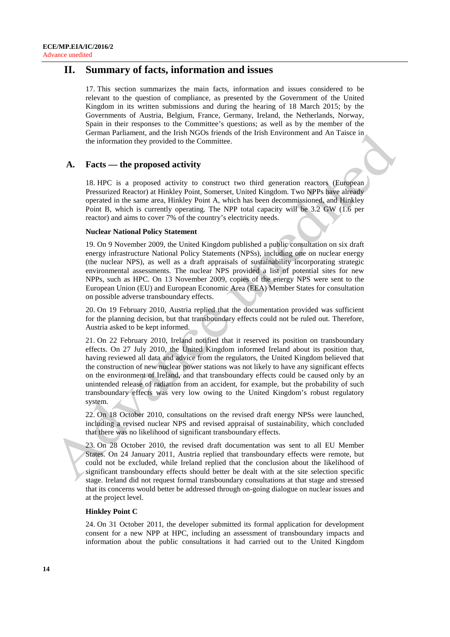## **II. Summary of facts, information and issues**

17. This section summarizes the main facts, information and issues considered to be relevant to the question of compliance, as presented by the Government of the United Kingdom in its written submissions and during the hearing of 18 March 2015; by the Governments of Austria, Belgium, France, Germany, Ireland, the Netherlands, Norway, Spain in their responses to the Committee's questions; as well as by the member of the German Parliament, and the Irish NGOs friends of the Irish Environment and An Taisce in the information they provided to the Committee.

### **A. Facts — the proposed activity**

18. HPC is a proposed activity to construct two third generation reactors (European Pressurized Reactor) at Hinkley Point, Somerset, United Kingdom. Two NPPs have already operated in the same area, Hinkley Point A, which has been decommissioned, and Hinkley Point B, which is currently operating. The NPP total capacity will be 3.2 GW (1.6 per reactor) and aims to cover 7% of the country's electricity needs.

#### **Nuclear National Policy Statement**

19. On 9 November 2009, the United Kingdom published a public consultation on six draft energy infrastructure National Policy Statements (NPSs), including one on nuclear energy (the nuclear NPS), as well as a draft appraisals of sustainability incorporating strategic environmental assessments. The nuclear NPS provided a list of potential sites for new NPPs, such as HPC. On 13 November 2009, copies of the energy NPS were sent to the European Union (EU) and European Economic Area (EEA) Member States for consultation on possible adverse transboundary effects.

20. On 19 February 2010, Austria replied that the documentation provided was sufficient for the planning decision, but that transboundary effects could not be ruled out. Therefore, Austria asked to be kept informed.

21. On 22 February 2010, Ireland notified that it reserved its position on transboundary effects. On 27 July 2010, the United Kingdom informed Ireland about its position that, having reviewed all data and advice from the regulators, the United Kingdom believed that the construction of new nuclear power stations was not likely to have any significant effects on the environment of Ireland, and that transboundary effects could be caused only by an unintended release of radiation from an accident, for example, but the probability of such transboundary effects was very low owing to the United Kingdom's robust regulatory system.

22. On 18 October 2010, consultations on the revised draft energy NPSs were launched, including a revised nuclear NPS and revised appraisal of sustainability, which concluded that there was no likelihood of significant transboundary effects.

23. On 28 October 2010, the revised draft documentation was sent to all EU Member States. On 24 January 2011, Austria replied that transboundary effects were remote, but could not be excluded, while Ireland replied that the conclusion about the likelihood of significant transboundary effects should better be dealt with at the site selection specific stage. Ireland did not request formal transboundary consultations at that stage and stressed that its concerns would better be addressed through on-going dialogue on nuclear issues and at the project level.

#### **Hinkley Point C**

24. On 31 October 2011, the developer submitted its formal application for development consent for a new NPP at HPC, including an assessment of transboundary impacts and information about the public consultations it had carried out to the United Kingdom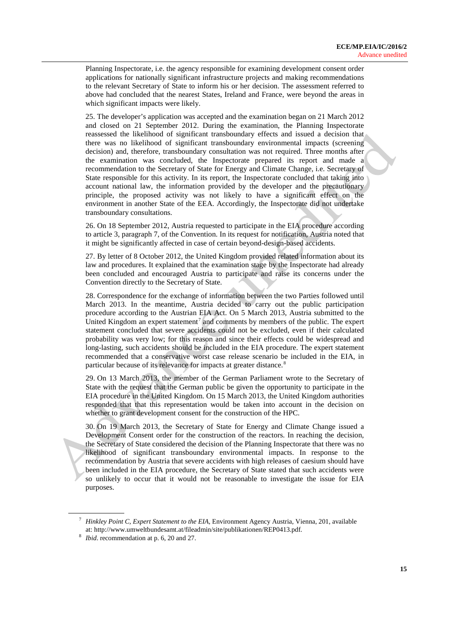Planning Inspectorate, i.e. the agency responsible for examining development consent order applications for nationally significant infrastructure projects and making recommendations to the relevant Secretary of State to inform his or her decision. The assessment referred to above had concluded that the nearest States, Ireland and France, were beyond the areas in which significant impacts were likely.

25. The developer's application was accepted and the examination began on 21 March 2012 and closed on 21 September 2012. During the examination, the Planning Inspectorate reassessed the likelihood of significant transboundary effects and issued a decision that there was no likelihood of significant transboundary environmental impacts (screening decision) and, therefore, transboundary consultation was not required. Three months after the examination was concluded, the Inspectorate prepared its report and made a recommendation to the Secretary of State for Energy and Climate Change, i.e. Secretary of State responsible for this activity. In its report, the Inspectorate concluded that taking into account national law, the information provided by the developer and the precautionary principle, the proposed activity was not likely to have a significant effect on the environment in another State of the EEA. Accordingly, the Inspectorate did not undertake transboundary consultations.

26. On 18 September 2012, Austria requested to participate in the EIA procedure according to article 3, paragraph 7, of the Convention. In its request for notification, Austria noted that it might be significantly affected in case of certain beyond-design-based accidents.

27. By letter of 8 October 2012, the United Kingdom provided related information about its law and procedures. It explained that the examination stage by the Inspectorate had already been concluded and encouraged Austria to participate and raise its concerns under the Convention directly to the Secretary of State.

28. Correspondence for the exchange of information between the two Parties followed until March 2013. In the meantime, Austria decided to carry out the public participation procedure according to the Austrian EIA Act. On 5 March 2013, Austria submitted to the United Kingdom an expert statement<sup>[7](#page-14-0)</sup> and comments by members of the public. The expert statement concluded that severe accidents could not be excluded, even if their calculated probability was very low; for this reason and since their effects could be widespread and long-lasting, such accidents should be included in the EIA procedure. The expert statement recommended that a conservative worst case release scenario be included in the EIA, in particular because of its relevance for impacts at greater distance.<sup>[8](#page-14-1)</sup>

29. On 13 March 2013, the member of the German Parliament wrote to the Secretary of State with the request that the German public be given the opportunity to participate in the EIA procedure in the United Kingdom. On 15 March 2013, the United Kingdom authorities responded that that this representation would be taken into account in the decision on whether to grant development consent for the construction of the HPC.

30. On 19 March 2013, the Secretary of State for Energy and Climate Change issued a Development Consent order for the construction of the reactors. In reaching the decision, the Secretary of State considered the decision of the Planning Inspectorate that there was no likelihood of significant transboundary environmental impacts. In response to the recommendation by Austria that severe accidents with high releases of caesium should have been included in the EIA procedure, the Secretary of State stated that such accidents were so unlikely to occur that it would not be reasonable to investigate the issue for EIA purposes.

<span id="page-14-0"></span><sup>7</sup> *Hinkley Point C, Expert Statement to the EIA,* Environment Agency Austria, Vienna, 201, available at: http://www.umweltbundesamt.at/fileadmin/site/publikationen/REP0413.pdf.

<span id="page-14-1"></span><sup>8</sup> *Ibid*. recommendation at p. 6, 20 and 27.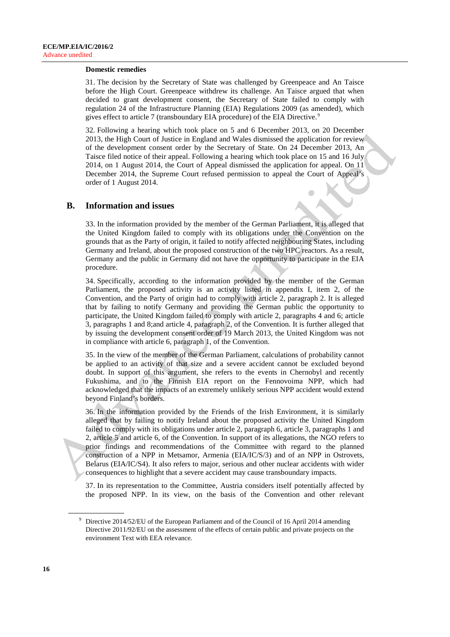#### **Domestic remedies**

31. The decision by the Secretary of State was challenged by Greenpeace and An Taisce before the High Court. Greenpeace withdrew its challenge. An Taisce argued that when decided to grant development consent, the Secretary of State failed to comply with regulation 24 of the Infrastructure Planning (EIA) Regulations 2009 (as amended), which gives effect to article 7 (transboundary EIA procedure) of the EIA Directive.<sup>[9](#page-15-0)</sup>

32. Following a hearing which took place on 5 and 6 December 2013, on 20 December 2013, the High Court of Justice in England and Wales dismissed the application for review of the development consent order by the Secretary of State. On 24 December 2013, An Taisce filed notice of their appeal. Following a hearing which took place on 15 and 16 July 2014, on 1 August 2014, the Court of Appeal dismissed the application for appeal. On 11 December 2014, the Supreme Court refused permission to appeal the Court of Appeal's order of 1 August 2014.

#### **B. Information and issues**

33. In the information provided by the member of the German Parliament, it is alleged that the United Kingdom failed to comply with its obligations under the Convention on the grounds that as the Party of origin, it failed to notify affected neighbouring States, including Germany and Ireland, about the proposed construction of the two HPC reactors. As a result, Germany and the public in Germany did not have the opportunity to participate in the EIA procedure.

34. Specifically, according to the information provided by the member of the German Parliament, the proposed activity is an activity listed in appendix I, item 2, of the Convention, and the Party of origin had to comply with article 2, paragraph 2. It is alleged that by failing to notify Germany and providing the German public the opportunity to participate, the United Kingdom failed to comply with article 2, paragraphs 4 and 6; article 3, paragraphs 1 and 8;and article 4, paragraph 2, of the Convention. It is further alleged that by issuing the development consent order of 19 March 2013, the United Kingdom was not in compliance with article 6, paragraph 1, of the Convention.

35. In the view of the member of the German Parliament, calculations of probability cannot be applied to an activity of that size and a severe accident cannot be excluded beyond doubt. In support of this argument, she refers to the events in Chernobyl and recently Fukushima, and to the Finnish EIA report on the Fennovoima NPP, which had acknowledged that the impacts of an extremely unlikely serious NPP accident would extend beyond Finland's borders.

36. In the information provided by the Friends of the Irish Environment, it is similarly alleged that by failing to notify Ireland about the proposed activity the United Kingdom failed to comply with its obligations under article 2, paragraph 6, article 3, paragraphs 1 and 2, article 5 and article 6, of the Convention. In support of its allegations, the NGO refers to prior findings and recommendations of the Committee with regard to the planned construction of a NPP in Metsamor, Armenia (EIA/IC/S/3) and of an NPP in Ostrovets, Belarus (EIA/IC/S4). It also refers to major, serious and other nuclear accidents with wider consequences to highlight that a severe accident may cause transboundary impacts.

37. In its representation to the Committee, Austria considers itself potentially affected by the proposed NPP. In its view, on the basis of the Convention and other relevant

<span id="page-15-0"></span><sup>&</sup>lt;sup>9</sup> Directive 2014/52/EU of the European Parliament and of the Council of 16 April 2014 amending Directive 2011/92/EU on the assessment of the effects of certain public and private projects on the environment Text with EEA relevance.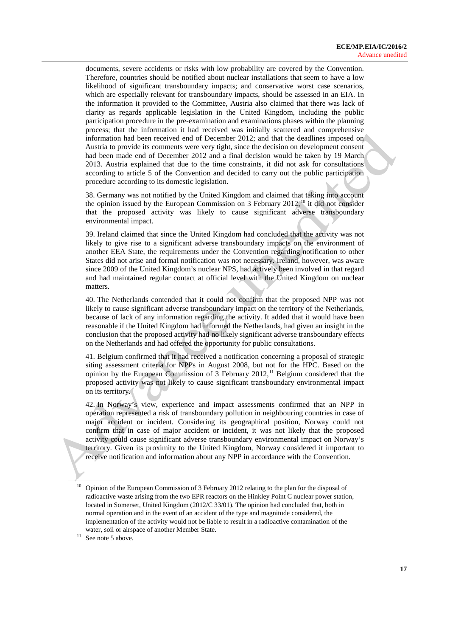documents, severe accidents or risks with low probability are covered by the Convention. Therefore, countries should be notified about nuclear installations that seem to have a low likelihood of significant transboundary impacts; and conservative worst case scenarios, which are especially relevant for transboundary impacts, should be assessed in an EIA. In the information it provided to the Committee, Austria also claimed that there was lack of clarity as regards applicable legislation in the United Kingdom, including the public participation procedure in the pre-examination and examinations phases within the planning process; that the information it had received was initially scattered and comprehensive information had been received end of December 2012; and that the deadlines imposed on Austria to provide its comments were very tight, since the decision on development consent had been made end of December 2012 and a final decision would be taken by 19 March 2013. Austria explained that due to the time constraints, it did not ask for consultations according to article 5 of the Convention and decided to carry out the public participation procedure according to its domestic legislation.

38. Germany was not notified by the United Kingdom and claimed that taking into account the opinion issued by the European Commission on 3 February 2012,<sup>[10](#page-16-0)</sup> it did not consider that the proposed activity was likely to cause significant adverse transboundary environmental impact.

39. Ireland claimed that since the United Kingdom had concluded that the activity was not likely to give rise to a significant adverse transboundary impacts on the environment of another EEA State, the requirements under the Convention regarding notification to other States did not arise and formal notification was not necessary. Ireland, however, was aware since 2009 of the United Kingdom's nuclear NPS, had actively been involved in that regard and had maintained regular contact at official level with the United Kingdom on nuclear matters.

40. The Netherlands contended that it could not confirm that the proposed NPP was not likely to cause significant adverse transboundary impact on the territory of the Netherlands, because of lack of any information regarding the activity. It added that it would have been reasonable if the United Kingdom had informed the Netherlands, had given an insight in the conclusion that the proposed activity had no likely significant adverse transboundary effects on the Netherlands and had offered the opportunity for public consultations.

41. Belgium confirmed that it had received a notification concerning a proposal of strategic siting assessment criteria for NPPs in August 2008, but not for the HPC. Based on the opinion by the European Commission of 3 February 2012,<sup>[11](#page-16-1)</sup> Belgium considered that the proposed activity was not likely to cause significant transboundary environmental impact on its territory.

42. In Norway's view, experience and impact assessments confirmed that an NPP in operation represented a risk of transboundary pollution in neighbouring countries in case of major accident or incident. Considering its geographical position, Norway could not confirm that in case of major accident or incident, it was not likely that the proposed activity could cause significant adverse transboundary environmental impact on Norway's territory. Given its proximity to the United Kingdom, Norway considered it important to receive notification and information about any NPP in accordance with the Convention.

<span id="page-16-0"></span><sup>10</sup> Opinion of the European Commission of 3 February 2012 relating to the plan for the disposal of radioactive waste arising from the two EPR reactors on the Hinkley Point C nuclear power station, located in Somerset, United Kingdom (2012/C 33/01). The opinion had concluded that, both in normal operation and in the event of an accident of the type and magnitude considered, the implementation of the activity would not be liable to result in a radioactive contamination of the water, soil or airspace of another Member State.

<span id="page-16-1"></span><sup>&</sup>lt;sup>11</sup> See note 5 above.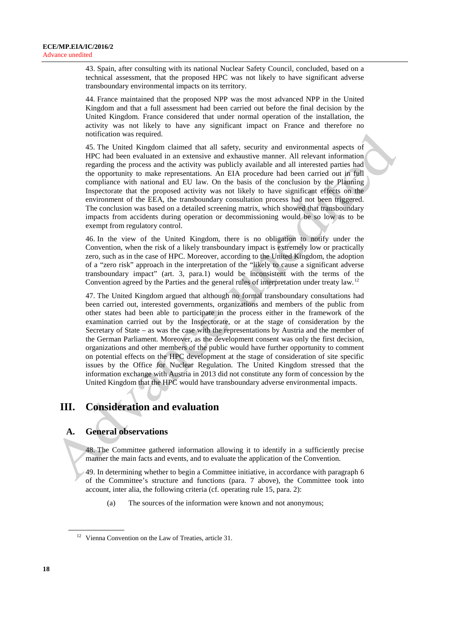43. Spain, after consulting with its national Nuclear Safety Council, concluded, based on a technical assessment, that the proposed HPC was not likely to have significant adverse transboundary environmental impacts on its territory.

44. France maintained that the proposed NPP was the most advanced NPP in the United Kingdom and that a full assessment had been carried out before the final decision by the United Kingdom. France considered that under normal operation of the installation, the activity was not likely to have any significant impact on France and therefore no notification was required.

45. The United Kingdom claimed that all safety, security and environmental aspects of HPC had been evaluated in an extensive and exhaustive manner. All relevant information regarding the process and the activity was publicly available and all interested parties had the opportunity to make representations. An EIA procedure had been carried out in full compliance with national and EU law. On the basis of the conclusion by the Planning Inspectorate that the proposed activity was not likely to have significant effects on the environment of the EEA, the transboundary consultation process had not been triggered. The conclusion was based on a detailed screening matrix, which showed that transboundary impacts from accidents during operation or decommissioning would be so low as to be exempt from regulatory control.

46. In the view of the United Kingdom, there is no obligation to notify under the Convention, when the risk of a likely transboundary impact is extremely low or practically zero, such as in the case of HPC. Moreover, according to the United Kingdom, the adoption of a "zero risk" approach in the interpretation of the "likely to cause a significant adverse transboundary impact" (art. 3, para.1) would be inconsistent with the terms of the Convention agreed by the Parties and the general rules of interpretation under treaty law. <sup>[12](#page-17-0)</sup>

47. The United Kingdom argued that although no formal transboundary consultations had been carried out, interested governments, organizations and members of the public from other states had been able to participate in the process either in the framework of the examination carried out by the Inspectorate, or at the stage of consideration by the Secretary of State – as was the case with the representations by Austria and the member of the German Parliament. Moreover, as the development consent was only the first decision, organizations and other members of the public would have further opportunity to comment on potential effects on the HPC development at the stage of consideration of site specific issues by the Office for Nuclear Regulation. The United Kingdom stressed that the information exchange with Austria in 2013 did not constitute any form of concession by the United Kingdom that the HPC would have transboundary adverse environmental impacts.

# **III. Consideration and evaluation**

## **A. General observations**

48. The Committee gathered information allowing it to identify in a sufficiently precise manner the main facts and events, and to evaluate the application of the Convention.

49. In determining whether to begin a Committee initiative, in accordance with paragraph 6 of the Committee's structure and functions (para. 7 above), the Committee took into account, inter alia, the following criteria (cf. operating rule 15, para. 2):

(a) The sources of the information were known and not anonymous;

<span id="page-17-0"></span><sup>&</sup>lt;sup>12</sup> Vienna Convention on the Law of Treaties, article 31.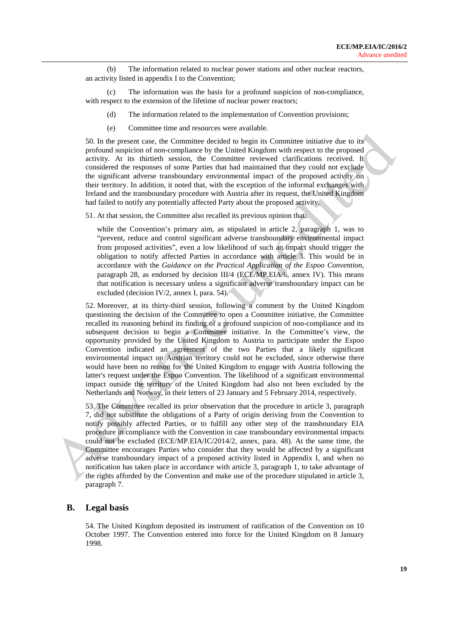(b) The information related to nuclear power stations and other nuclear reactors, an activity listed in appendix I to the Convention;

(c) The information was the basis for a profound suspicion of non-compliance, with respect to the extension of the lifetime of nuclear power reactors;

- (d) The information related to the implementation of Convention provisions;
- (e) Committee time and resources were available.

50. In the present case, the Committee decided to begin its Committee initiative due to its profound suspicion of non-compliance by the United Kingdom with respect to the proposed activity. At its thirtieth session, the Committee reviewed clarifications received. It considered the responses of some Parties that had maintained that they could not exclude the significant adverse transboundary environmental impact of the proposed activity on their territory. In addition, it noted that, with the exception of the informal exchanges with Ireland and the transboundary procedure with Austria after its request, the United Kingdom had failed to notify any potentially affected Party about the proposed activity.

51. At that session, the Committee also recalled its previous opinion that:

while the Convention's primary aim, as stipulated in article 2, paragraph 1, was to "prevent, reduce and control significant adverse transboundary environmental impact from proposed activities", even a low likelihood of such an impact should trigger the obligation to notify affected Parties in accordance with article 3. This would be in accordance with the *Guidance on the Practical Application of the Espoo Convention*, paragraph 28, as endorsed by decision III/4 (ECE/MP.EIA/6, annex IV). This means that notification is necessary unless a significant adverse transboundary impact can be excluded (decision IV/2, annex I, para. 54).

52. Moreover, at its thirty-third session, following a comment by the United Kingdom questioning the decision of the Committee to open a Committee initiative, the Committee recalled its reasoning behind its finding of a profound suspicion of non-compliance and its subsequent decision to begin a Committee initiative. In the Committee's view, the opportunity provided by the United Kingdom to Austria to participate under the Espoo Convention indicated an agreement of the two Parties that a likely significant environmental impact on Austrian territory could not be excluded, since otherwise there would have been no reason for the United Kingdom to engage with Austria following the latter's request under the Espoo Convention. The likelihood of a significant environmental impact outside the territory of the United Kingdom had also not been excluded by the Netherlands and Norway, in their letters of 23 January and 5 February 2014, respectively.

53. The Committee recalled its prior observation that the procedure in article 3, paragraph 7, did not substitute the obligations of a Party of origin deriving from the Convention to notify possibly affected Parties, or to fulfill any other step of the transboundary EIA procedure in compliance with the Convention in case transboundary environmental impacts could not be excluded (ECE/MP.EIA/IC/2014/2, annex, para. 48). At the same time, the Committee encourages Parties who consider that they would be affected by a significant adverse transboundary impact of a proposed activity listed in Appendix I, and when no notification has taken place in accordance with article 3, paragraph 1, to take advantage of the rights afforded by the Convention and make use of the procedure stipulated in article 3, paragraph 7.

#### **B. Legal basis**

54. The United Kingdom deposited its instrument of ratification of the Convention on 10 October 1997. The Convention entered into force for the United Kingdom on 8 January 1998.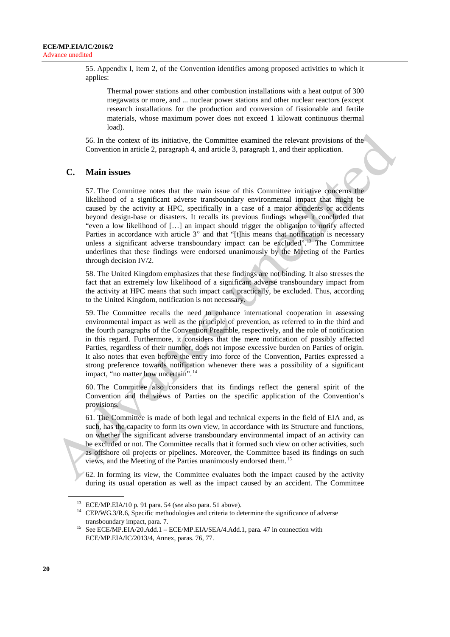55. Appendix I, item 2, of the Convention identifies among proposed activities to which it applies:

Thermal power stations and other combustion installations with a heat output of 300 megawatts or more, and ... nuclear power stations and other nuclear reactors (except research installations for the production and conversion of fissionable and fertile materials, whose maximum power does not exceed 1 kilowatt continuous thermal load).

56. In the context of its initiative, the Committee examined the relevant provisions of the Convention in article 2, paragraph 4, and article 3, paragraph 1, and their application.

### **C. Main issues**

57. The Committee notes that the main issue of this Committee initiative concerns the likelihood of a significant adverse transboundary environmental impact that might be caused by the activity at HPC, specifically in a case of a major accidents or accidents beyond design-base or disasters. It recalls its previous findings where it concluded that "even a low likelihood of […] an impact should trigger the obligation to notify affected Parties in accordance with article 3" and that "[t]his means that notification is necessary unless a significant adverse transboundary impact can be excluded".<sup>[13](#page-19-0)</sup> The Committee underlines that these findings were endorsed unanimously by the Meeting of the Parties through decision IV/2.

58. The United Kingdom emphasizes that these findings are not binding. It also stresses the fact that an extremely low likelihood of a significant adverse transboundary impact from the activity at HPC means that such impact can, practically, be excluded. Thus, according to the United Kingdom, notification is not necessary.

59. The Committee recalls the need to enhance international cooperation in assessing environmental impact as well as the principle of prevention, as referred to in the third and the fourth paragraphs of the Convention Preamble, respectively, and the role of notification in this regard. Furthermore, it considers that the mere notification of possibly affected Parties, regardless of their number, does not impose excessive burden on Parties of origin. It also notes that even before the entry into force of the Convention, Parties expressed a strong preference towards notification whenever there was a possibility of a significant impact, "no matter how uncertain". [14](#page-19-1)

60. The Committee also considers that its findings reflect the general spirit of the Convention and the views of Parties on the specific application of the Convention's provisions.

61. The Committee is made of both legal and technical experts in the field of EIA and, as such, has the capacity to form its own view, in accordance with its Structure and functions, on whether the significant adverse transboundary environmental impact of an activity can be excluded or not. The Committee recalls that it formed such view on other activities, such as offshore oil projects or pipelines. Moreover, the Committee based its findings on such views, and the Meeting of the Parties unanimously endorsed them. [15](#page-19-2)

62. In forming its view, the Committee evaluates both the impact caused by the activity during its usual operation as well as the impact caused by an accident. The Committee

<span id="page-19-0"></span><sup>13</sup> ECE/MP.EIA/10 p. 91 para. 54 (*see* also para. 51 above).

<span id="page-19-1"></span><sup>&</sup>lt;sup>14</sup> CEP/WG.3/R.6, Specific methodologies and criteria to determine the significance of adverse transboundary impact, para. 7.

<span id="page-19-2"></span><sup>15</sup> See ECE/MP.EIA/20.Add.1 – ECE/MP.EIA/SEA/4.Add.1, para. 47 in connection with ECE/MP.EIA/IC/2013/4, Annex, paras. 76, 77.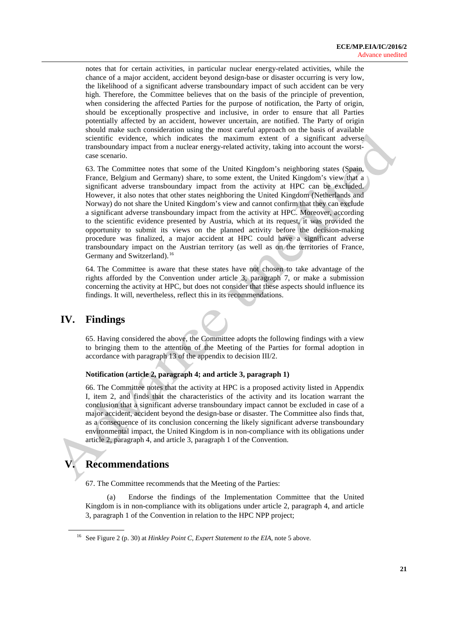notes that for certain activities, in particular nuclear energy-related activities, while the chance of a major accident, accident beyond design-base or disaster occurring is very low, the likelihood of a significant adverse transboundary impact of such accident can be very high. Therefore, the Committee believes that on the basis of the principle of prevention, when considering the affected Parties for the purpose of notification, the Party of origin, should be exceptionally prospective and inclusive, in order to ensure that all Parties potentially affected by an accident, however uncertain, are notified. The Party of origin should make such consideration using the most careful approach on the basis of available scientific evidence, which indicates the maximum extent of a significant adverse transboundary impact from a nuclear energy-related activity, taking into account the worstcase scenario.

63. The Committee notes that some of the United Kingdom's neighboring states (Spain, France, Belgium and Germany) share, to some extent, the United Kingdom's view that a significant adverse transboundary impact from the activity at HPC can be excluded. However, it also notes that other states neighboring the United Kingdom (Netherlands and Norway) do not share the United Kingdom's view and cannot confirm that they can exclude a significant adverse transboundary impact from the activity at HPC. Moreover, according to the scientific evidence presented by Austria, which at its request, it was provided the opportunity to submit its views on the planned activity before the decision-making procedure was finalized, a major accident at HPC could have a significant adverse transboundary impact on the Austrian territory (as well as on the territories of France, Germany and Switzerland).<sup>[16](#page-20-0)</sup>

64. The Committee is aware that these states have not chosen to take advantage of the rights afforded by the Convention under article 3, paragraph 7, or make a submission concerning the activity at HPC, but does not consider that these aspects should influence its findings. It will, nevertheless, reflect this in its recommendations.

## **IV. Findings**

65. Having considered the above, the Committee adopts the following findings with a view to bringing them to the attention of the Meeting of the Parties for formal adoption in accordance with paragraph 13 of the appendix to decision III/2.

#### **Notification (article 2, paragraph 4; and article 3, paragraph 1)**

66. The Committee notes that the activity at HPC is a proposed activity listed in Appendix I, item 2, and finds that the characteristics of the activity and its location warrant the conclusion that a significant adverse transboundary impact cannot be excluded in case of a major accident, accident beyond the design-base or disaster. The Committee also finds that, as a consequence of its conclusion concerning the likely significant adverse transboundary environmental impact, the United Kingdom is in non-compliance with its obligations under article 2, paragraph 4, and article 3, paragraph 1 of the Convention.

# **V. Recommendations**

67. The Committee recommends that the Meeting of the Parties:

(a) Endorse the findings of the Implementation Committee that the United Kingdom is in non-compliance with its obligations under article 2, paragraph 4, and article 3, paragraph 1 of the Convention in relation to the HPC NPP project;

<span id="page-20-0"></span><sup>16</sup> See Figure 2 (p. 30) at *Hinkley Point C, Expert Statement to the EIA*, note 5 above.